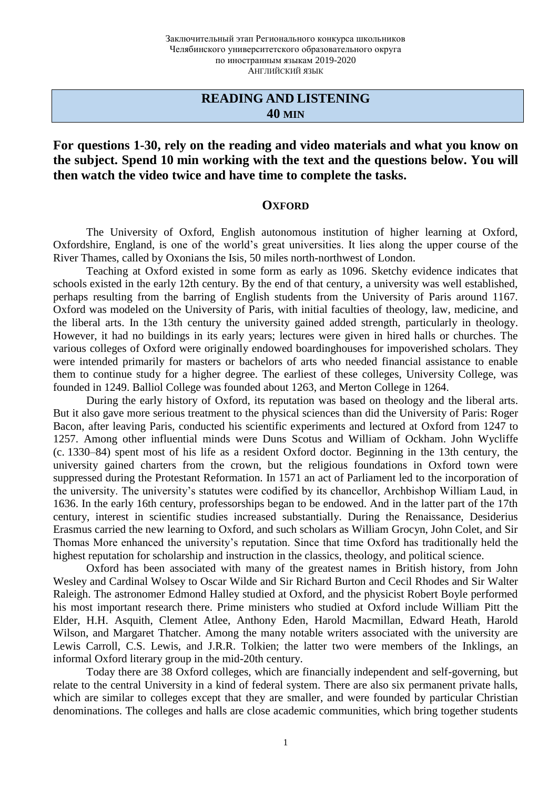### **READING AND LISTENING 40 MIN**

**For questions 1-30, rely on the reading and video materials and what you know on the subject. Spend 10 min working with the text and the questions below. You will then watch the video twice and have time to complete the tasks.**

#### **OXFORD**

The University of Oxford, English autonomous institution of higher learning at Oxford, Oxfordshire, England, is one of the world's great universities. It lies along the upper course of the River Thames, called by Oxonians the Isis, 50 miles north-northwest of London.

Teaching at Oxford existed in some form as early as 1096. Sketchy evidence indicates that schools existed in the early 12th century. By the end of that century, a university was well established, perhaps resulting from the barring of English students from the University of Paris around 1167. Oxford was modeled on the University of Paris, with initial faculties of theology, law, medicine, and the liberal arts. In the 13th century the university gained added strength, particularly in theology. However, it had no buildings in its early years; lectures were given in hired halls or churches. The various colleges of Oxford were originally endowed boardinghouses for impoverished scholars. They were intended primarily for masters or bachelors of arts who needed financial assistance to enable them to continue study for a higher degree. The earliest of these colleges, University College, was founded in 1249. Balliol College was founded about 1263, and Merton College in 1264.

During the early history of Oxford, its reputation was based on theology and the liberal arts. But it also gave more serious treatment to the physical sciences than did the University of Paris: Roger Bacon, after leaving Paris, conducted his scientific experiments and lectured at Oxford from 1247 to 1257. Among other influential minds were Duns Scotus and William of Ockham. John Wycliffe (c. 1330–84) spent most of his life as a resident Oxford doctor. Beginning in the 13th century, the university gained charters from the crown, but the religious foundations in Oxford town were suppressed during the Protestant Reformation. In 1571 an act of Parliament led to the incorporation of the university. The university's statutes were codified by its chancellor, Archbishop William Laud, in 1636. In the early 16th century, professorships began to be endowed. And in the latter part of the 17th century, interest in scientific studies increased substantially. During the Renaissance, Desiderius Erasmus carried the new learning to Oxford, and such scholars as William Grocyn, John Colet, and Sir Thomas More enhanced the university's reputation. Since that time Oxford has traditionally held the highest reputation for scholarship and instruction in the classics, theology, and political science.

Oxford has been associated with many of the greatest names in British history, from John Wesley and Cardinal Wolsey to Oscar Wilde and Sir Richard Burton and Cecil Rhodes and Sir Walter Raleigh. The astronomer Edmond Halley studied at Oxford, and the physicist Robert Boyle performed his most important research there. Prime ministers who studied at Oxford include William Pitt the Elder, H.H. Asquith, Clement Atlee, Anthony Eden, Harold Macmillan, Edward Heath, Harold Wilson, and Margaret Thatcher. Among the many notable writers associated with the university are Lewis Carroll, C.S. Lewis, and J.R.R. Tolkien; the latter two were members of the Inklings, an informal Oxford literary group in the mid-20th century.

Today there are 38 Oxford colleges, which are financially independent and self-governing, but relate to the central University in a kind of federal system. There are also six permanent private halls, which are similar to colleges except that they are smaller, and were founded by particular Christian denominations. The colleges and halls are close academic communities, which bring together students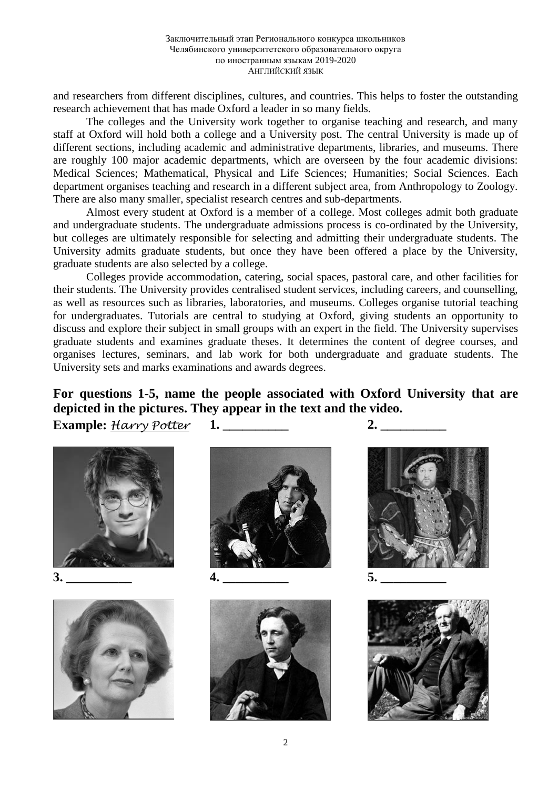and researchers from different disciplines, cultures, and countries. This helps to foster the outstanding research achievement that has made Oxford a leader in so many fields.

The colleges and the University work together to organise teaching and research, and many staff at Oxford will hold both a college and a University post. The central University is made up of different sections, including academic and administrative departments, libraries, and museums. There are roughly 100 major academic departments, which are overseen by the four academic divisions: Medical Sciences; Mathematical, Physical and Life Sciences; Humanities; Social Sciences. Each department organises teaching and research in a different subject area, from Anthropology to Zoology. There are also many smaller, specialist research centres and sub-departments.

Almost every student at Oxford is a member of a college. Most colleges admit both graduate and undergraduate students. The undergraduate admissions process is co-ordinated by the University, but colleges are ultimately responsible for selecting and admitting their undergraduate students. The University admits graduate students, but once they have been offered a place by the University, graduate students are also selected by a college.

Colleges provide accommodation, catering, social spaces, pastoral care, and other facilities for their students. The University provides centralised student services, including careers, and counselling, as well as resources such as libraries, laboratories, and museums. Colleges organise tutorial teaching for undergraduates. Tutorials are central to studying at Oxford, giving students an opportunity to discuss and explore their subject in small groups with an expert in the field. The University supervises graduate students and examines graduate theses. It determines the content of degree courses, and organises lectures, seminars, and lab work for both undergraduate and graduate students. The University sets and marks examinations and awards degrees.

**For questions 1-5, name the people associated with Oxford University that are depicted in the pictures. They appear in the text and the video.**

**Example:** *Harry Potter* **1. \_\_\_\_\_\_\_\_\_\_ 2. \_\_\_\_\_\_\_\_\_\_**









**3. \_\_\_\_\_\_\_\_\_\_ 4. \_\_\_\_\_\_\_\_\_\_ 5. \_\_\_\_\_\_\_\_\_\_**







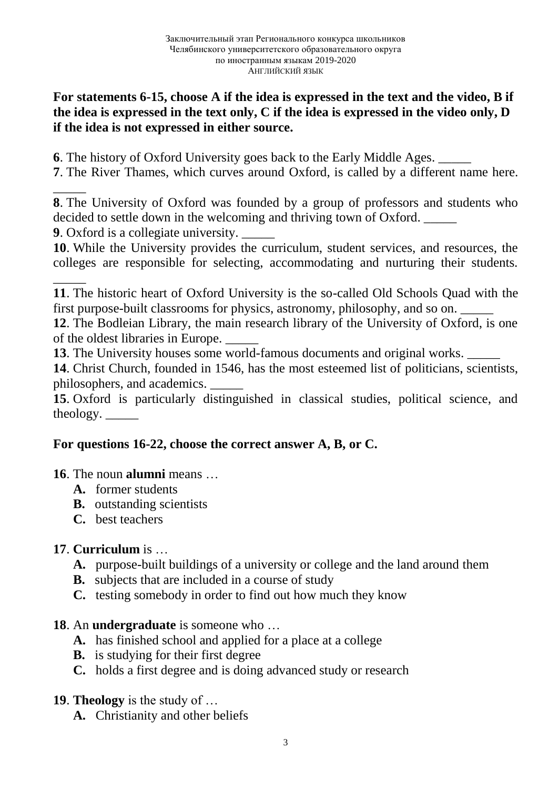# **For statements 6-15, choose A if the idea is expressed in the text and the video, B if the idea is expressed in the text only, C if the idea is expressed in the video only, D if the idea is not expressed in either source.**

**6**. The history of Oxford University goes back to the Early Middle Ages. \_\_\_\_\_

**7**. The River Thames, which curves around Oxford, is called by a different name here.

**8**. The University of Oxford was founded by a group of professors and students who decided to settle down in the welcoming and thriving town of Oxford.

**9**. Oxford is a collegiate university. \_\_\_\_\_

\_\_\_\_\_

**10**. While the University provides the curriculum, student services, and resources, the colleges are responsible for selecting, accommodating and nurturing their students.

\_\_\_\_\_ **11**. The historic heart of Oxford University is the so-called Old Schools Quad with the first purpose-built classrooms for physics, astronomy, philosophy, and so on.

**12**. The Bodleian Library, the main research library of the University of Oxford, is one of the oldest libraries in Europe. \_\_\_\_\_

**13**. The University houses some world-famous documents and original works.

**14**. Christ Church, founded in 1546, has the most esteemed list of politicians, scientists, philosophers, and academics. \_\_\_\_\_

**15**. Oxford is particularly distinguished in classical studies, political science, and theology.  $\_\_$ 

# **For questions 16-22, choose the correct answer A, B, or C.**

# **16**. The noun **alumni** means …

- **A.** former students
- **B.** outstanding scientists
- **C.** best teachers

# **17**. **Curriculum** is …

- **A.** purpose-built buildings of a university or college and the land around them
- **B.** subjects that are included in a course of study
- **C.** testing somebody in order to find out how much they know

# **18**. An **undergraduate** is someone who …

- **A.** has finished school and applied for a place at a college
- **B.** is studying for their first degree
- **C.** holds a first degree and is doing advanced study or research

# **19**. **Theology** is the study of …

**A.** Christianity and other beliefs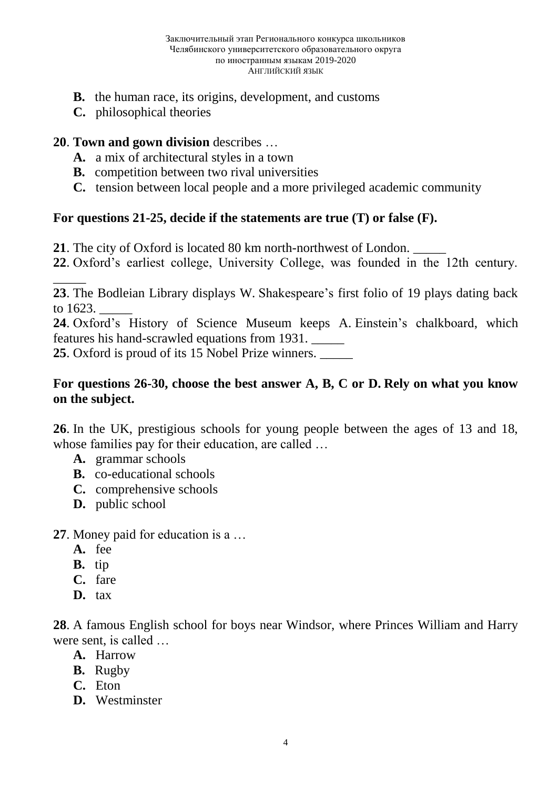- **B.** the human race, its origins, development, and customs
- **C.** philosophical theories

### **20**. **Town and gown division** describes …

- **A.** a mix of architectural styles in a town
- **B.** competition between two rival universities
- **C.** tension between local people and a more privileged academic community

### **For questions 21-25, decide if the statements are true (T) or false (F).**

- **21**. The city of Oxford is located 80 km north-northwest of London. \_\_\_\_\_
- **22**. Oxford's earliest college, University College, was founded in the 12th century.

**23**. The Bodleian Library displays W. Shakespeare's first folio of 19 plays dating back to 1623.

**24**. Oxford's History of Science Museum keeps A. Einstein's chalkboard, which features his hand-scrawled equations from 1931. \_\_\_\_\_

**25**. Oxford is proud of its 15 Nobel Prize winners. \_\_\_\_\_

### **For questions 26-30, choose the best answer A, B, C or D. Rely on what you know on the subject.**

**26**. In the UK, prestigious schools for young people between the ages of 13 and 18, whose families pay for their education, are called ...

- **A.** grammar schools
- **B.** co-educational schools
- **C.** comprehensive schools
- **D.** public school

**27**. Money paid for education is a …

**A.** fee

\_\_\_\_\_

- **B.** tip
- **C.** fare
- **D.** tax

**28**. A famous English school for boys near Windsor, where Princes William and Harry were sent, is called …

- **A.** Harrow
- **B.** Rugby
- **C.** Eton
- **D.** Westminster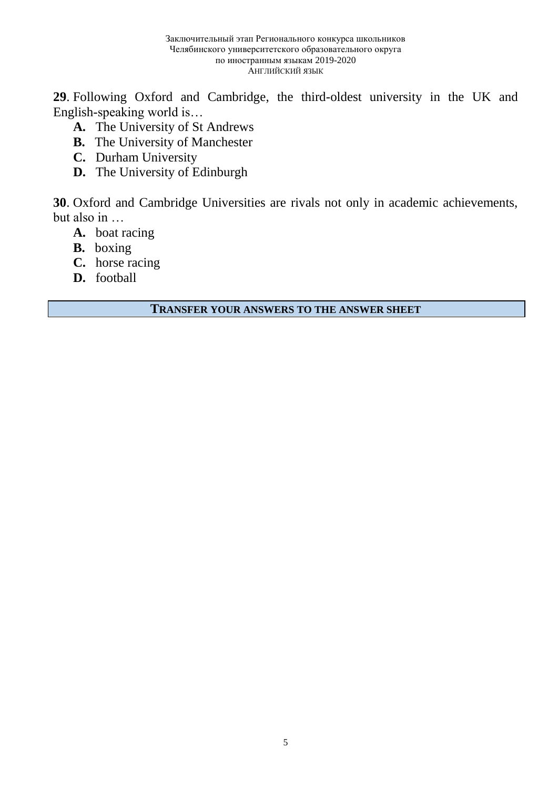**29**. Following Oxford and Cambridge, the third-oldest university in the UK and English-speaking world is…

- **A.** The University of St Andrews
- **B.** The University of Manchester
- **C.** Durham University
- **D.** The University of Edinburgh

**30**. Oxford and Cambridge Universities are rivals not only in academic achievements, but also in …

- **A.** boat racing
- **B.** boxing
- **C.** horse racing
- **D.** football

**TRANSFER YOUR ANSWERS TO THE ANSWER SHEET**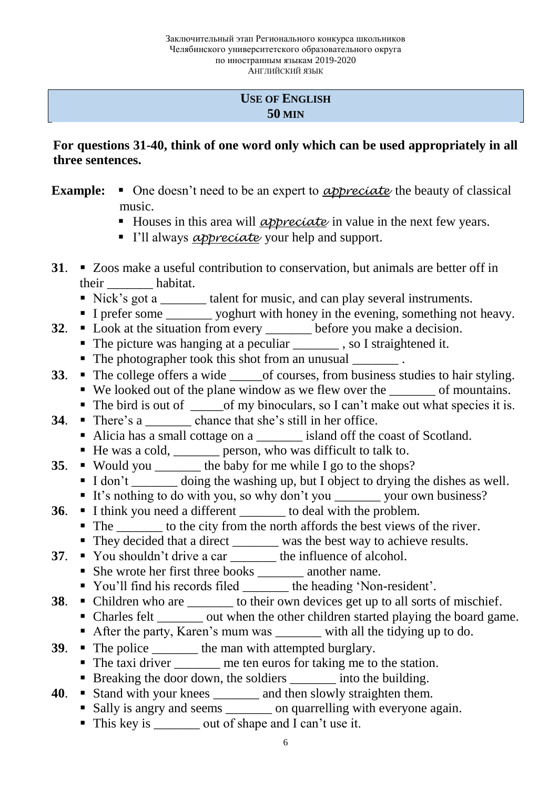### **USE OF ENGLISH 50 MIN**

## **For questions 31-40, think of one word only which can be used appropriately in all three sentences.**

- **Example:**  $\blacksquare$  One doesn't need to be an expert to *appreciate* the beauty of classical music.
	- Houses in this area will *appreciate* in value in the next few years.
	- I'll always *appreciate* your help and support.
- **31**. Zoos make a useful contribution to conservation, but animals are better off in their \_\_\_\_\_\_\_ habitat.
	- Nick's got a \_\_\_\_\_\_\_ talent for music, and can play several instruments.
	- I prefer some yoghurt with honey in the evening, something not heavy.
- **32.**  $\bullet$  Look at the situation from every \_\_\_\_\_\_\_ before you make a decision. ■ The picture was hanging at a peculiar subseteed it.
	- The photographer took this shot from an unusual \_\_\_\_\_\_\_\_\_.
- **33**. The college offers a wide of courses, from business studies to hair styling.
	- We looked out of the plane window as we flew over the of mountains.
	- The bird is out of \_\_\_\_\_\_of my binoculars, so I can't make out what species it is.
- **34**. There's a chance that she's still in her office.
	- Alicia has a small cottage on a \_\_\_\_\_\_\_\_ island off the coast of Scotland.
	- He was a cold, \_\_\_\_\_\_\_\_ person, who was difficult to talk to.
- **35**. Would you \_\_\_\_\_\_\_\_ the baby for me while I go to the shops?
	- I don't doing the washing up, but I object to drying the dishes as well.
	- It's nothing to do with you, so why don't you \_\_\_\_\_\_\_\_\_ your own business?
- **36**. I think you need a different to deal with the problem.
	- The to the city from the north affords the best views of the river.
	- They decided that a direct \_\_\_\_\_\_ was the best way to achieve results.
- **37**. You shouldn't drive a car <u>seem</u> the influence of alcohol.
	- She wrote her first three books \_\_\_\_\_\_\_ another name.
	- You'll find his records filed \_\_\_\_\_\_\_ the heading 'Non-resident'.
- **38**. Children who are to their own devices get up to all sorts of mischief.
	- Charles felt \_\_\_\_\_\_\_ out when the other children started playing the board game.
		- After the party, Karen's mum was with all the tidying up to do.
- **39**. The police <u>\_\_\_\_\_\_</u> the man with attempted burglary.
	- The taxi driver me ten euros for taking me to the station.
	- Breaking the door down, the soldiers \_\_\_\_\_\_\_\_\_ into the building.
- **40**. Stand with your knees \_\_\_\_\_\_\_ and then slowly straighten them.
	- Sally is angry and seems \_\_\_\_\_\_\_\_ on quarrelling with everyone again.
	- This key is \_\_\_\_\_\_\_\_ out of shape and I can't use it.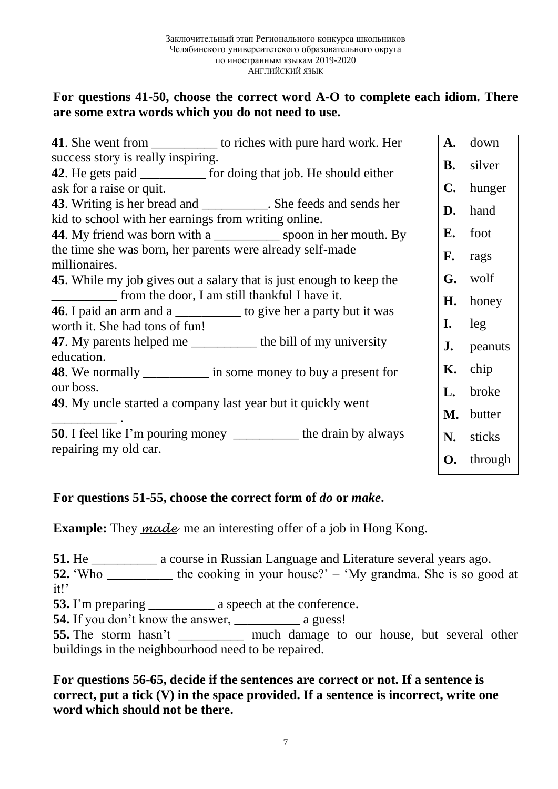## **For questions 41-50, choose the correct word A-O to complete each idiom. There are some extra words which you do not need to use.**

| <b>41.</b> She went from ______________ to riches with pure hard work. Her                                                         | A.             | down    |
|------------------------------------------------------------------------------------------------------------------------------------|----------------|---------|
| success story is really inspiring.                                                                                                 | <b>B.</b>      | silver  |
| <b>42.</b> He gets paid ____________ for doing that job. He should either                                                          |                |         |
| ask for a raise or quit.                                                                                                           | $\mathbf{C}$ . | hunger  |
| <b>43</b> . Writing is her bread and ____________. She feeds and sends her<br>kid to school with her earnings from writing online. | D.             | hand    |
| 44. My friend was born with a _____________ spoon in her mouth. By                                                                 | Е.             | foot    |
| the time she was born, her parents were already self-made<br>millionaires.                                                         | F.             | rags    |
| <b>45.</b> While my job gives out a salary that is just enough to keep the                                                         | G.             | wolf    |
| from the door, I am still thankful I have it.                                                                                      | H.             | honey   |
| <b>46</b> . I paid an arm and a ____________ to give her a party but it was<br>worth it. She had tons of fun!                      | I.             | leg     |
| 47. My parents helped me __________ the bill of my university<br>education.                                                        | J.             | peanuts |
| <b>48</b> . We normally ___________ in some money to buy a present for                                                             | Κ.             | chip    |
| our boss.                                                                                                                          | L.             | broke   |
| 49. My uncle started a company last year but it quickly went                                                                       | M.             | butter  |
| <b>50</b> . I feel like I'm pouring money ____________ the drain by always<br>repairing my old car.                                | N.             | sticks  |
|                                                                                                                                    | О.             | through |

### **For questions 51-55, choose the correct form of** *do* **or** *make***.**

**Example:** They *made* me an interesting offer of a job in Hong Kong.

**51.** He \_\_\_\_\_\_\_\_\_\_ a course in Russian Language and Literature several years ago.

**52.** 'Who the cooking in your house?' – 'My grandma. She is so good at it!'

**53.** I'm preparing \_\_\_\_\_\_\_\_\_\_ a speech at the conference.

**54.** If you don't know the answer, \_\_\_\_\_\_\_\_\_\_\_\_\_ a guess!

**55.** The storm hasn't \_\_\_\_\_\_\_\_\_\_ much damage to our house, but several other buildings in the neighbourhood need to be repaired.

**For questions 56-65, decide if the sentences are correct or not. If a sentence is correct, put a tick (V) in the space provided. If a sentence is incorrect, write one word which should not be there.**